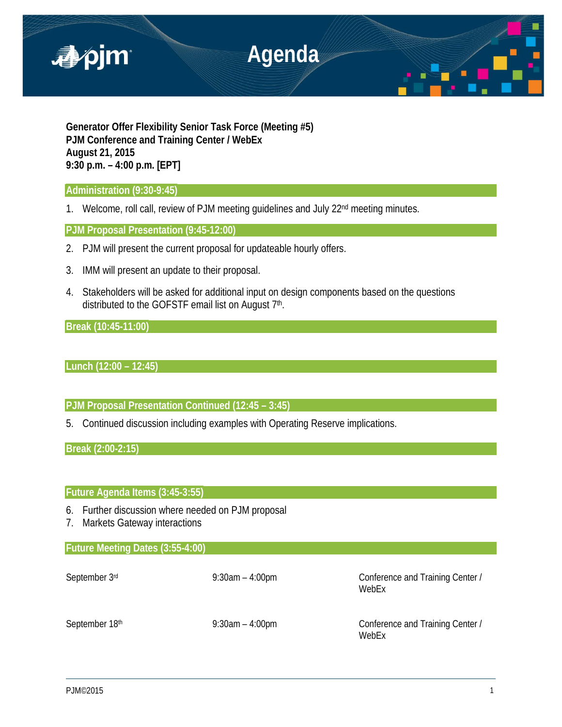

**Generator Offer Flexibility Senior Task Force (Meeting #5) PJM Conference and Training Center / WebEx August 21, 2015 9:30 p.m. – 4:00 p.m. [EPT]**

## **Administration (9:30-9:45)**

1. Welcome, roll call, review of PJM meeting quidelines and July 22<sup>nd</sup> meeting minutes.

# **PJM Proposal Presentation (9:45-12:00)**

- 2. PJM will present the current proposal for updateable hourly offers.
- 3. IMM will present an update to their proposal.
- 4. Stakeholders will be asked for additional input on design components based on the questions distributed to the GOFSTF email list on August 7th.

**Break (10:45-11:00)** 

# **Lunch (12:00 – 12:45)**

## **PJM Proposal Presentation Continued (12:45 – 3:45)**

5. Continued discussion including examples with Operating Reserve implications.

**Break (2:00-2:15)**

## **Future Agenda Items (3:45-3:55)**

- 6. Further discussion where needed on PJM proposal
- 7. Markets Gateway interactions

## **Future Meeting Dates (3:55-4:00)**

September 3<sup>rd</sup> 9:30am – 4:00pm Conference and Training Center / WebEx

September 18<sup>th</sup> 9:30am – 4:00pm Conference and Training Center / WebEx